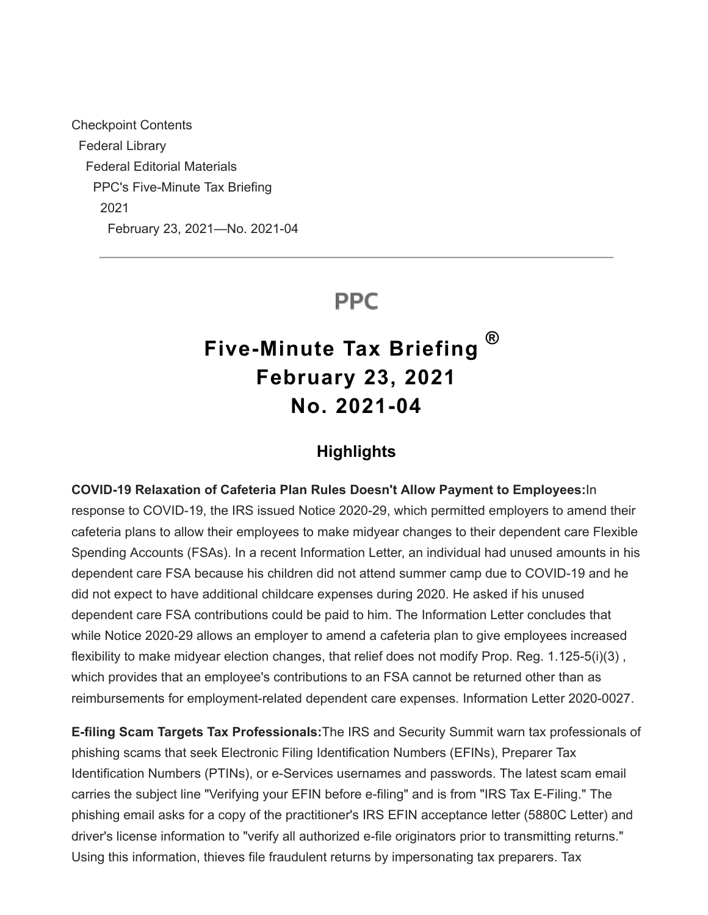Checkpoint Contents Federal Library Federal Editorial Materials PPC's Five-Minute Tax Briefing 2021 February 23, 2021—No. 2021-04

## **PPC**

# **Five-Minute Tax Briefing February 23, 2021 No. 2021-04 ®**

#### **Highlights**

**COVID-19 Relaxation of Cafeteria Plan Rules Doesn't Allow Payment to Employees:**In response to COVID-19, the IRS issued Notice 2020-29, which permitted employers to amend their cafeteria plans to allow their employees to make midyear changes to their dependent care Flexible Spending Accounts (FSAs). In a recent Information Letter, an individual had unused amounts in his dependent care FSA because his children did not attend summer camp due to COVID-19 and he did not expect to have additional childcare expenses during 2020. He asked if his unused dependent care FSA contributions could be paid to him. The Information Letter concludes that while Notice 2020-29 allows an employer to amend a cafeteria plan to give employees increased flexibility to make midyear election changes, that relief does not modify Prop. Reg. 1.125-5(i)(3) , which provides that an employee's contributions to an FSA cannot be returned other than as reimbursements for employment-related dependent care expenses. Information Letter 2020-0027.

**E-filing Scam Targets Tax Professionals:**The IRS and Security Summit warn tax professionals of phishing scams that seek Electronic Filing Identification Numbers (EFINs), Preparer Tax Identification Numbers (PTINs), or e-Services usernames and passwords. The latest scam email carries the subject line "Verifying your EFIN before e-filing" and is from "IRS Tax E-Filing." The phishing email asks for a copy of the practitioner's IRS EFIN acceptance letter (5880C Letter) and driver's license information to "verify all authorized e-file originators prior to transmitting returns." Using this information, thieves file fraudulent returns by impersonating tax preparers. Tax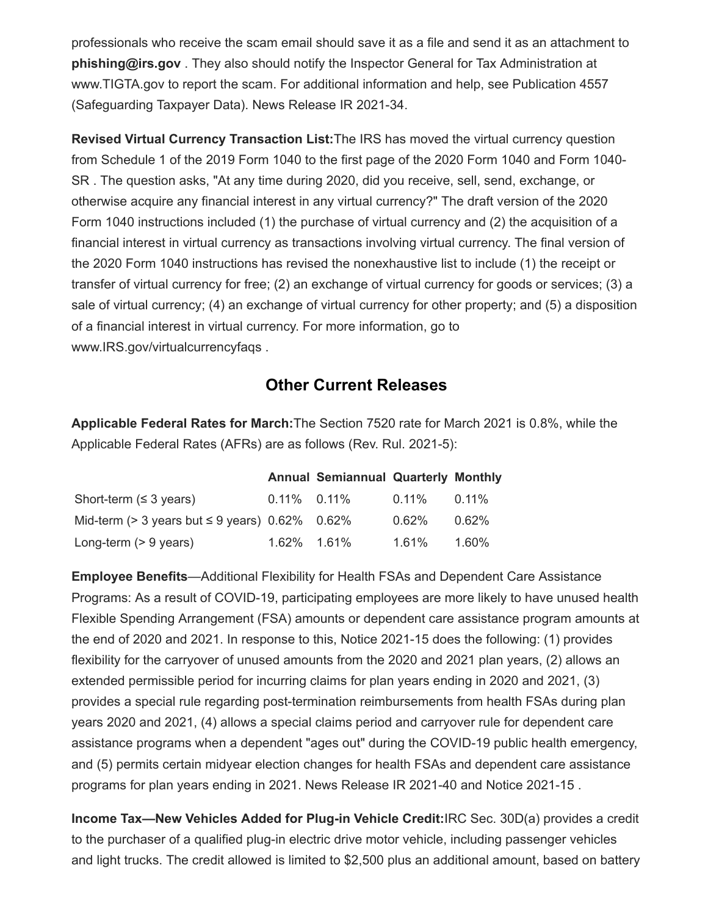professionals who receive the scam email should save it as a file and send it as an attachment to **phishing@irs.gov** . They also should notify the Inspector General for Tax Administration at www.TIGTA.gov to report the scam. For additional information and help, see Publication 4557 (Safeguarding Taxpayer Data). News Release IR 2021-34.

**Revised Virtual Currency Transaction List:**The IRS has moved the virtual currency question from Schedule 1 of the 2019 Form 1040 to the first page of the 2020 Form 1040 and Form 1040- SR . The question asks, "At any time during 2020, did you receive, sell, send, exchange, or otherwise acquire any financial interest in any virtual currency?" The draft version of the 2020 Form 1040 instructions included (1) the purchase of virtual currency and (2) the acquisition of a financial interest in virtual currency as transactions involving virtual currency. The final version of the 2020 Form 1040 instructions has revised the nonexhaustive list to include (1) the receipt or transfer of virtual currency for free; (2) an exchange of virtual currency for goods or services; (3) a sale of virtual currency; (4) an exchange of virtual currency for other property; and (5) a disposition of a financial interest in virtual currency. For more information, go to www.IRS.gov/virtualcurrencyfaqs .

### **Other Current Releases**

**Applicable Federal Rates for March:**The Section 7520 rate for March 2021 is 0.8%, while the Applicable Federal Rates (AFRs) are as follows (Rev. Rul. 2021-5):

|                                                        |                | <b>Annual Semiannual Quarterly Monthly</b> |                   |       |
|--------------------------------------------------------|----------------|--------------------------------------------|-------------------|-------|
| Short-term $( \leq 3 \text{ years})$                   | $0.11\%$ 0.11% |                                            | $0.11\%$ $0.11\%$ |       |
| Mid-term ( $>$ 3 years but $\leq$ 9 years) 0.62% 0.62% |                |                                            | $0.62\%$          | 0.62% |
| Long-term $(> 9 \text{ years})$                        | 1.62% 1.61%    |                                            | 1.61% 1.60%       |       |

**Employee Benefits**—Additional Flexibility for Health FSAs and Dependent Care Assistance Programs: As a result of COVID-19, participating employees are more likely to have unused health Flexible Spending Arrangement (FSA) amounts or dependent care assistance program amounts at the end of 2020 and 2021. In response to this, Notice 2021-15 does the following: (1) provides flexibility for the carryover of unused amounts from the 2020 and 2021 plan years, (2) allows an extended permissible period for incurring claims for plan years ending in 2020 and 2021, (3) provides a special rule regarding post-termination reimbursements from health FSAs during plan years 2020 and 2021, (4) allows a special claims period and carryover rule for dependent care assistance programs when a dependent "ages out" during the COVID-19 public health emergency, and (5) permits certain midyear election changes for health FSAs and dependent care assistance programs for plan years ending in 2021. News Release IR 2021-40 and Notice 2021-15 .

**Income Tax—New Vehicles Added for Plug-in Vehicle Credit:**IRC Sec. 30D(a) provides a credit to the purchaser of a qualified plug-in electric drive motor vehicle, including passenger vehicles and light trucks. The credit allowed is limited to \$2,500 plus an additional amount, based on battery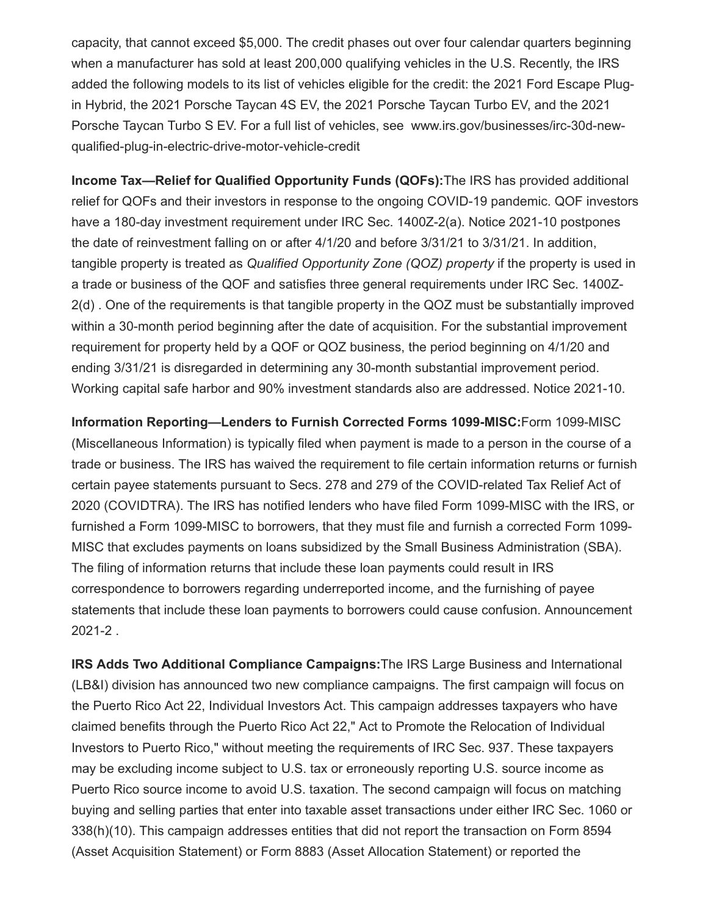capacity, that cannot exceed \$5,000. The credit phases out over four calendar quarters beginning when a manufacturer has sold at least 200,000 qualifying vehicles in the U.S. Recently, the IRS added the following models to its list of vehicles eligible for the credit: the 2021 Ford Escape Plugin Hybrid, the 2021 Porsche Taycan 4S EV, the 2021 Porsche Taycan Turbo EV, and the 2021 Porsche Taycan Turbo S EV. For a full list of vehicles, see www.irs.gov/businesses/irc-30d-newqualified-plug-in-electric-drive-motor-vehicle-credit

**Income Tax—Relief for Qualified Opportunity Funds (QOFs):**The IRS has provided additional relief for QOFs and their investors in response to the ongoing COVID-19 pandemic. QOF investors have a 180-day investment requirement under IRC Sec. 1400Z-2(a). Notice 2021-10 postpones the date of reinvestment falling on or after 4/1/20 and before 3/31/21 to 3/31/21. In addition, tangible property is treated as *Qualified Opportunity Zone (QOZ) property* if the property is used in a trade or business of the QOF and satisfies three general requirements under IRC Sec. 1400Z-2(d) . One of the requirements is that tangible property in the QOZ must be substantially improved within a 30-month period beginning after the date of acquisition. For the substantial improvement requirement for property held by a QOF or QOZ business, the period beginning on 4/1/20 and ending 3/31/21 is disregarded in determining any 30-month substantial improvement period. Working capital safe harbor and 90% investment standards also are addressed. Notice 2021-10.

**Information Reporting—Lenders to Furnish Corrected Forms 1099-MISC:**Form 1099-MISC (Miscellaneous Information) is typically filed when payment is made to a person in the course of a trade or business. The IRS has waived the requirement to file certain information returns or furnish certain payee statements pursuant to Secs. 278 and 279 of the COVID-related Tax Relief Act of 2020 (COVIDTRA). The IRS has notified lenders who have filed Form 1099-MISC with the IRS, or furnished a Form 1099-MISC to borrowers, that they must file and furnish a corrected Form 1099- MISC that excludes payments on loans subsidized by the Small Business Administration (SBA). The filing of information returns that include these loan payments could result in IRS correspondence to borrowers regarding underreported income, and the furnishing of payee statements that include these loan payments to borrowers could cause confusion. Announcement 2021-2 .

**IRS Adds Two Additional Compliance Campaigns:**The IRS Large Business and International (LB&I) division has announced two new compliance campaigns. The first campaign will focus on the Puerto Rico Act 22, Individual Investors Act. This campaign addresses taxpayers who have claimed benefits through the Puerto Rico Act 22," Act to Promote the Relocation of Individual Investors to Puerto Rico," without meeting the requirements of IRC Sec. 937. These taxpayers may be excluding income subject to U.S. tax or erroneously reporting U.S. source income as Puerto Rico source income to avoid U.S. taxation. The second campaign will focus on matching buying and selling parties that enter into taxable asset transactions under either IRC Sec. 1060 or 338(h)(10). This campaign addresses entities that did not report the transaction on Form 8594 (Asset Acquisition Statement) or Form 8883 (Asset Allocation Statement) or reported the